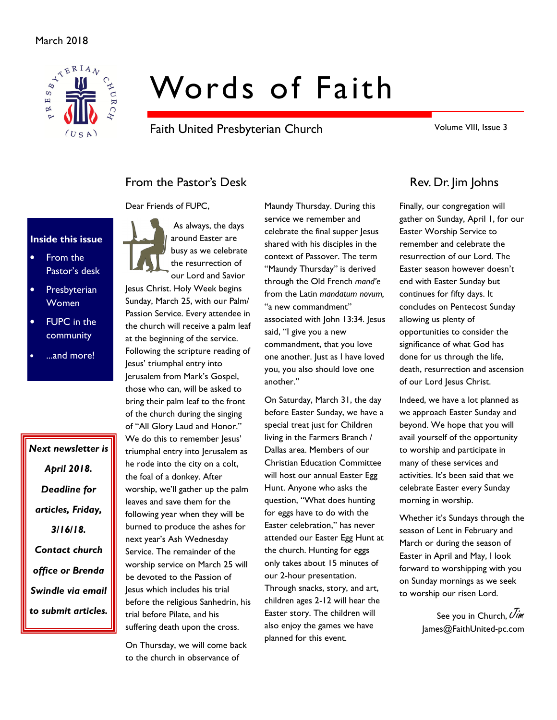

# Words of Faith

Faith United Presbyterian Church

Volume VIII, Issue 3

# From the Pastor's Desk Rev. Dr. Jim Johns

Dear Friends of FUPC,

#### Inside this issue

- From the Pastor's desk
- **Presbyterian** Women
- **FUPC** in the community
- ...and more!

Next newsletter is April 2018. Deadline for articles, Friday, 3/16/18. Contact church office or Brenda Swindle via email to submit articles.



Jesus Christ. Holy Week begins Sunday, March 25, with our Palm/ Passion Service. Every attendee in the church will receive a palm leaf at the beginning of the service. Following the scripture reading of Jesus' triumphal entry into Jerusalem from Mark's Gospel, those who can, will be asked to bring their palm leaf to the front of the church during the singing of "All Glory Laud and Honor." We do this to remember lesus' triumphal entry into Jerusalem as he rode into the city on a colt, the foal of a donkey. After worship, we'll gather up the palm leaves and save them for the following year when they will be burned to produce the ashes for next year's Ash Wednesday Service. The remainder of the worship service on March 25 will be devoted to the Passion of Jesus which includes his trial before the religious Sanhedrin, his trial before Pilate, and his suffering death upon the cross.

On Thursday, we will come back to the church in observance of

Maundy Thursday. During this service we remember and celebrate the final supper Jesus shared with his disciples in the context of Passover. The term "Maundy Thursday" is derived through the Old French mand'e from the Latin mandatum novum, "a new commandment" associated with John 13:34. Jesus said, "I give you a new commandment, that you love one another. Just as I have loved you, you also should love one another."

On Saturday, March 31, the day before Easter Sunday, we have a special treat just for Children living in the Farmers Branch / Dallas area. Members of our Christian Education Committee will host our annual Easter Egg Hunt. Anyone who asks the question, "What does hunting for eggs have to do with the Easter celebration," has never attended our Easter Egg Hunt at the church. Hunting for eggs only takes about 15 minutes of our 2-hour presentation. Through snacks, story, and art, children ages 2-12 will hear the Easter story. The children will also enjoy the games we have planned for this event.

Finally, our congregation will gather on Sunday, April 1, for our Easter Worship Service to remember and celebrate the resurrection of our Lord. The Easter season however doesn't end with Easter Sunday but continues for fifty days. It concludes on Pentecost Sunday allowing us plenty of opportunities to consider the significance of what God has done for us through the life, death, resurrection and ascension of our Lord Jesus Christ.

Indeed, we have a lot planned as we approach Easter Sunday and beyond. We hope that you will avail yourself of the opportunity to worship and participate in many of these services and activities. It's been said that we celebrate Easter every Sunday morning in worship.

Whether it's Sundays through the season of Lent in February and March or during the season of Easter in April and May, I look forward to worshipping with you on Sunday mornings as we seek to worship our risen Lord.

> See you in Church, Uim James@FaithUnited-pc.com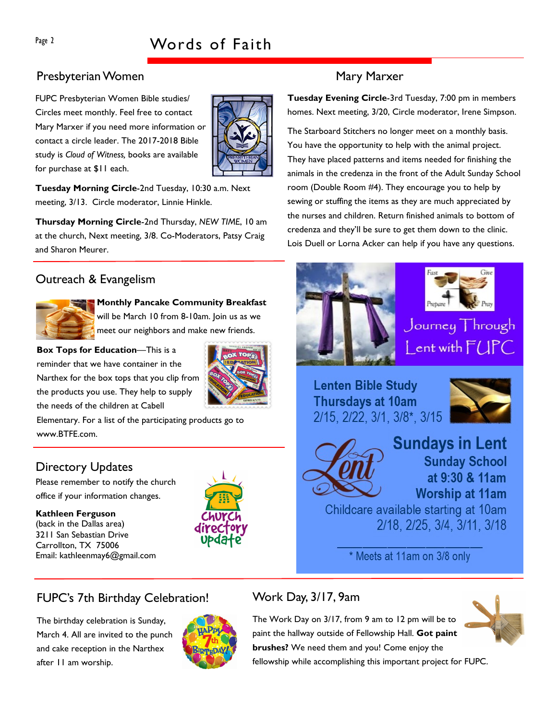#### Presbyterian Women Mary Marxer

FUPC Presbyterian Women Bible studies/ Circles meet monthly. Feel free to contact Mary Marxer if you need more information or contact a circle leader. The 2017-2018 Bible study is Cloud of Witness, books are available for purchase at \$11 each.



Tuesday Morning Circle-2nd Tuesday, 10:30 a.m. Next meeting, 3/13. Circle moderator, Linnie Hinkle.

Thursday Morning Circle-2nd Thursday, NEW TIME, 10 am at the church, Next meeting, 3/8. Co-Moderators, Patsy Craig and Sharon Meurer.

### Outreach & Evangelism



#### Monthly Pancake Community Breakfast

will be March 10 from 8-10am. Join us as we meet our neighbors and make new friends.

Box Tops for Education—This is a reminder that we have container in the Narthex for the box tops that you clip from the products you use. They help to supply the needs of the children at Cabell



Elementary. For a list of the participating products go to www.BTFE.com.

### Directory Updates

Please remember to notify the church office if your information changes.

#### Kathleen Ferguson (back in the Dallas area) 3211 San Sebastian Drive Carrollton, TX 75006 Email: kathleenmay6@gmail.com



Tuesday Evening Circle-3rd Tuesday, 7:00 pm in members homes. Next meeting, 3/20, Circle moderator, Irene Simpson.

The Starboard Stitchers no longer meet on a monthly basis. You have the opportunity to help with the animal project. They have placed patterns and items needed for finishing the animals in the credenza in the front of the Adult Sunday School room (Double Room #4). They encourage you to help by sewing or stuffing the items as they are much appreciated by the nurses and children. Return finished animals to bottom of credenza and they'll be sure to get them down to the clinic. Lois Duell or Lorna Acker can help if you have any questions.





#### Journey Through ent with  $IPC$

# **Lenten Bible Study Thursdays at 10am** 2/15, 2/22, 3/1, 3/8\*, 3/15



**Sundays in Lent Sunday School** at 9:30 & 11am **Worship at 11am** 

Childcare available starting at 10am 2/18, 2/25, 3/4, 3/11, 3/18

\* Meets at 11am on 3/8 only

#### FUPC's 7th Birthday Celebration!

The birthday celebration is Sunday, March 4. All are invited to the punch and cake reception in the Narthex after 11 am worship.



#### Work Day, 3/17, 9am

The Work Day on 3/17, from 9 am to 12 pm will be to paint the hallway outside of Fellowship Hall. Got paint brushes? We need them and you! Come enjoy the fellowship while accomplishing this important project for FUPC.

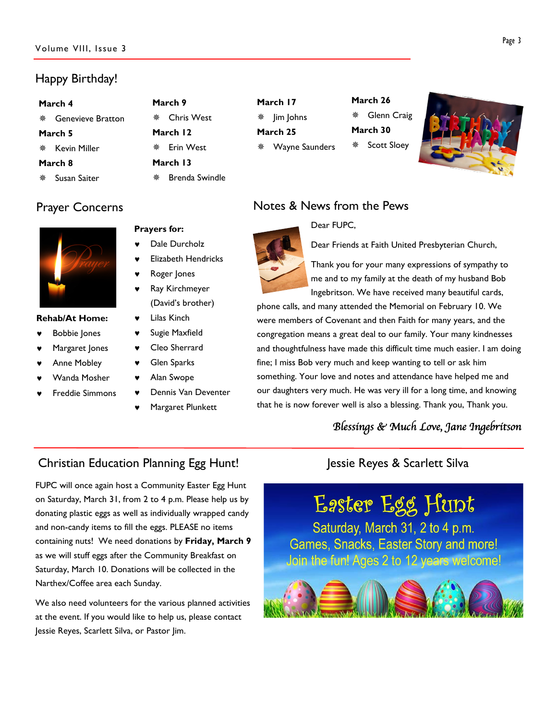# Happy Birthday!

| March 4 |                          |          | March 9               |  |  |  |
|---------|--------------------------|----------|-----------------------|--|--|--|
| 齋       | <b>Genevieve Bratton</b> | 噩        | <b>Chris West</b>     |  |  |  |
| March 5 |                          | March 12 |                       |  |  |  |
| 兼       | Kevin Miller             | 噩        | <b>Erin West</b>      |  |  |  |
| March 8 |                          |          | March 13              |  |  |  |
| 鮝       | Susan Saiter             | 鉴        | <b>Brenda Swindle</b> |  |  |  |

# Prayer Concerns



#### Rehab/At Home:

- **Bobbie Jones**
- Margaret Jones
- **Anne Mobley**
- Wanda Mosher
- **Freddie Simmons**
- 
- Dale Durcholz
- **Elizabeth Hendricks**
- Roger Jones

Prayers for:

- Ray Kirchmeyer (David's brother)
- Lilas Kinch
- Sugie Maxfield
- Cleo Sherrard
- **Glen Sparks**
- Alan Swope
- Dennis Van Deventer
- Margaret Plunkett

# Notes & News from the Pews

#### Dear FUPC,

March 26

March 30

Glenn Craig

Scott Sloey

Dear Friends at Faith United Presbyterian Church,



March 17 **※ Jim Johns** March 25

Wayne Saunders

Thank you for your many expressions of sympathy to me and to my family at the death of my husband Bob Ingebritson. We have received many beautiful cards,

phone calls, and many attended the Memorial on February 10. We were members of Covenant and then Faith for many years, and the congregation means a great deal to our family. Your many kindnesses and thoughtfulness have made this difficult time much easier. I am doing fine; I miss Bob very much and keep wanting to tell or ask him something. Your love and notes and attendance have helped me and our daughters very much. He was very ill for a long time, and knowing that he is now forever well is also a blessing. Thank you, Thank you.

### Blessings & Much Love, Jane Ingebritson

# Christian Education Planning Egg Hunt! Jessie Reyes & Scarlett Silva

FUPC will once again host a Community Easter Egg Hunt on Saturday, March 31, from 2 to 4 p.m. Please help us by donating plastic eggs as well as individually wrapped candy and non-candy items to fill the eggs. PLEASE no items containing nuts! We need donations by Friday, March 9 as we will stuff eggs after the Community Breakfast on Saturday, March 10. Donations will be collected in the Narthex/Coffee area each Sunday.

We also need volunteers for the various planned activities at the event. If you would like to help us, please contact Jessie Reyes, Scarlett Silva, or Pastor Jim.